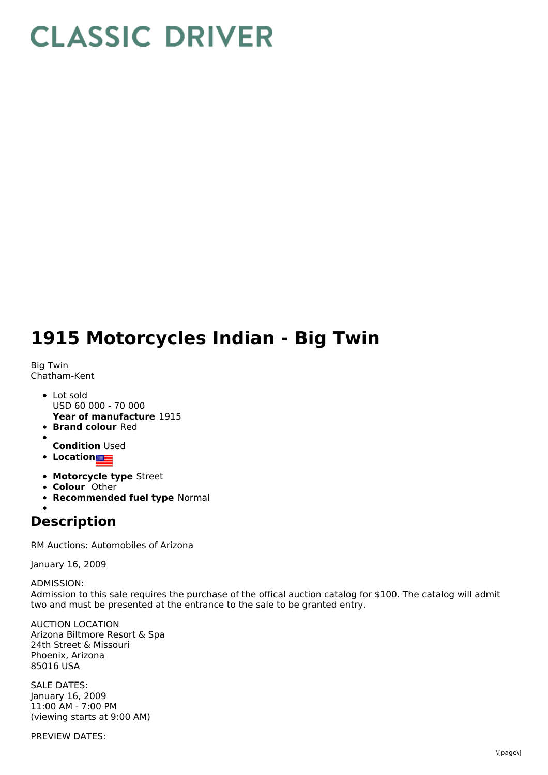## **CLASSIC DRIVER**

## **1915 Motorcycles Indian - Big Twin**

Big Twin Chatham-Kent

- **Year of manufacture** 1915 Lot sold USD 60 000 - 70 000
- **Brand colour** Red
- 
- **Condition** Used
- **Location**
- **Motorcycle type** Street
- **Colour** Other
- **Recommended fuel type** Normal

## **Description**

RM Auctions: Automobiles of Arizona

January 16, 2009

ADMISSION: Admission to this sale requires the purchase of the offical auction catalog for \$100. The catalog will admit two and must be presented at the entrance to the sale to be granted entry.

AUCTION LOCATION Arizona Biltmore Resort & Spa 24th Street & Missouri Phoenix, Arizona 85016 USA

SALE DATES: January 16, 2009 11:00 AM - 7:00 PM (viewing starts at 9:00 AM)

PREVIEW DATES: